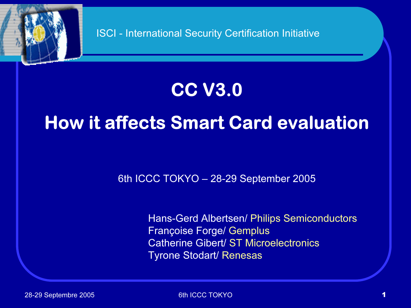

# CC V3.0

# How it affects Smart Card evaluation

6th ICCC TOKYO – 28-29 September 2005

Hans-Gerd Albertsen/ Philips Semiconductors Françoise Forge/ Gemplus Catherine Gibert/ ST MicroelectronicsTyrone Stodart/ Renesas

28-29 Septembre 2005 6th ICCC TOKYO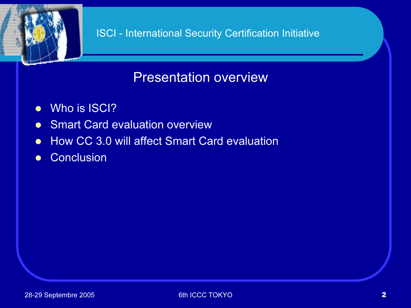#### Presentation overview

- Who is ISCI?
- **Smart Card evaluation overview**
- How CC 3.0 will affect Smart Card evaluation
- **Conclusion**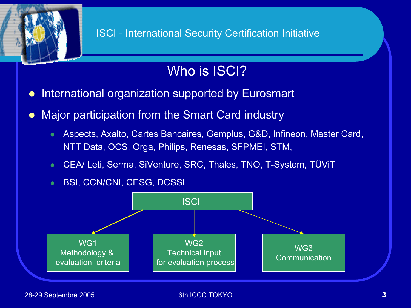

## Who is ISCI?

- $\bullet$ International organization supported by Eurosmart
- $\bullet$  Major participation from the Smart Card industry
	- Aspects, Axalto, Cartes Bancaires, Gemplus, G&D, Infineon, Master Card, NTT Data, OCS, Orga, Philips, Renesas, SFPMEI, STM,
	- CEA/ Leti, Serma, SiVenture, SRC, Thales, TNO, T-System, TÜViT
	- BSI, CCN/CNI, CESG, DCSSI

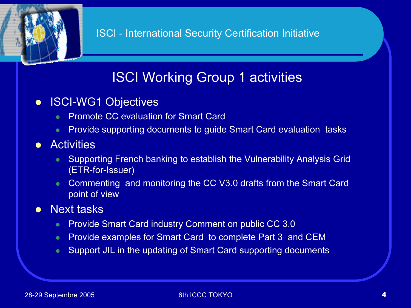## ISCI Working Group 1 activities

- $\bullet$  ISCI-WG1 Objectives
	- $\bullet$   $\blacksquare$ Promote CC evaluation for Smart Card
	- **•** Provide supporting documents to guide Smart Card evaluation tasks
- **•** Activities
	- $\bullet$  Supporting French banking to establish the Vulnerability Analysis Grid (ETR-for-Issuer)
	- $\bullet$  Commenting and monitoring the CC V3.0 drafts from the Smart Card point of view
- $\bullet$  Next tasks
	- $\bullet$ Provide Smart Card industry Comment on public CC 3.0
	- $\bullet$ Provide examples for Smart Card to complete Part 3 and CEM
	- $\bullet$ Support JIL in the updating of Smart Card supporting documents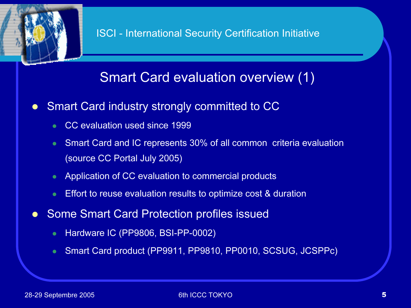

#### Smart Card evaluation overview (1)

- $\bullet$  Smart Card industry strongly committed to CC
	- $\bullet$ CC evaluation used since 1999
	- $\bullet$  Smart Card and IC represents 30% of all common criteria evaluation (source CC Portal July 2005)
	- $\bullet$ Application of CC evaluation to commercial products
	- $\bullet$ Effort to reuse evaluation results to optimize cost & duration
- $\bullet$  Some Smart Card Protection profiles issued
	- $\bullet$ Hardware IC (PP9806, BSI-PP-0002)
	- $\bullet$ Smart Card product (PP9911, PP9810, PP0010, SCSUG, JCSPPc)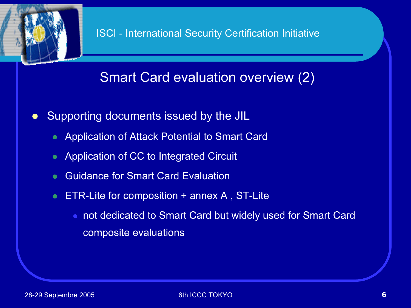

## Smart Card evaluation overview (2)

- $\bullet$  Supporting documents issued by the JIL
	- $\bullet$ Application of Attack Potential to Smart Card
	- $\bullet$ Application of CC to Integrated Circuit
	- $\bullet$ Guidance for Smart Card Evaluation
	- $\bullet$  ETR-Lite for composition + annex A , ST-Lite
		- not dedicated to Smart Card but widely used for Smart Card composite evaluations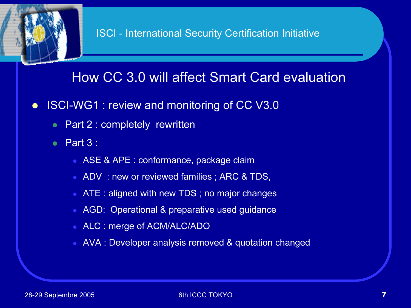#### How CC 3.0 will affect Smart Card evaluation

- $\bullet$  ISCI-WG1 : review and monitoring of CC V3.0
	- Part 2 : completely rewritten
	- $\bullet$  Part 3 :
		- ASE & APE : conformance, package claim
		- ADV : new or reviewed families ; ARC & TDS,
		- ATE : aligned with new TDS ; no major changes
		- AGD: Operational & preparative used guidance
		- ALC : merge of ACM/ALC/ADO
		- AVA : Developer analysis removed & quotation changed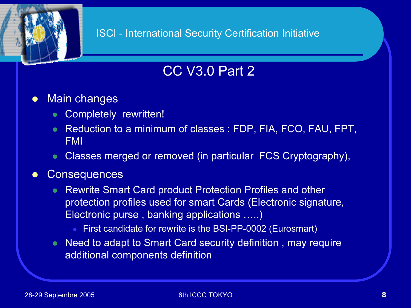## CC V3.0 Part 2

- $\bullet$  Main changes
	- $\bullet$ Completely rewritten!
	- Reduction to a minimum of classes : FDP, FIA, FCO, FAU, FPT, FMI
	- $\bullet$ Classes merged or removed (in particular FCS Cryptography),

#### $\bullet$ **Consequences**

- $\bullet$  Rewrite Smart Card product Protection Profiles and other protection profiles used for smart Cards (Electronic signature, Electronic purse , banking applications …..)
	- First candidate for rewrite is the BSI-PP-0002 (Eurosmart)
- $\bullet$  Need to adapt to Smart Card security definition , may require additional components definition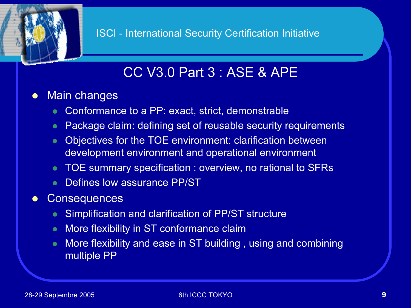### CC V3.0 Part 3 : ASE & APE

#### $\bullet$ Main changes

- $\bullet$ Conformance to a PP: exact, strict, demonstrable
- $\bullet$ Package claim: defining set of reusable security requirements
- $\bullet$  Objectives for the TOE environment: clarification between development environment and operational environment
- TOE summary specification : overview, no rational to SFRs
- $\bullet$ Defines low assurance PP/ST
- $\bullet$ **Consequences** 
	- $\bullet$ Simplification and clarification of PP/ST structure
	- $\bullet$ More flexibility in ST conformance claim
	- $\bullet$  More flexibility and ease in ST building , using and combining multiple PP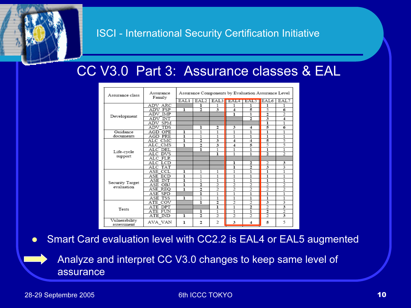#### CC V3.0 Part 3: Assurance classes & EAL

| Assurance class               | Assurance<br>Family | Assurance Components by Evaluation Assurance Level |                  |                |                          |                          |                          |                          |
|-------------------------------|---------------------|----------------------------------------------------|------------------|----------------|--------------------------|--------------------------|--------------------------|--------------------------|
|                               |                     | EAL1                                               | EAL <sub>2</sub> | EAL3           |                          | <b>BEAL4 BALS</b>        | EAL6                     | EAL7                     |
| Development                   | ADV ARC             |                                                    | ı                | 1              | 1                        | 1                        | 1                        | 1                        |
|                               | ADV FSP             | ı                                                  | $\overline{2}$   | 3              | 4                        | 5                        | 5                        | 6                        |
|                               | ADV IMP             |                                                    |                  |                | ı                        | $\mathbf{1}$             | $\overline{2}$           | $\overline{c}$           |
|                               | ADV INT             |                                                    |                  |                |                          | $\overline{2}$           |                          | 4                        |
|                               | ADV SPM             |                                                    |                  |                |                          |                          | ī                        | 1                        |
|                               | ADV TDS             |                                                    | ı                | 2              | 3                        | 4                        | 5                        | 6                        |
| Guidance                      | AGD OPE             | ı                                                  | 1                | 1              | 1                        | 1                        | 1                        | 1                        |
| documents                     | AGD PRE             | ı                                                  | 1                | 1              | 1                        | 1                        | 1                        | 1                        |
|                               | ALC CMC             | ī                                                  | 2                | 3              | 4                        | 4                        | 5                        | 5                        |
|                               | ALC CMS             | ı                                                  | 2                | 3              | 4                        | 5                        | 5                        | 5                        |
|                               | ALC DEL             |                                                    | ı                | 1              | 1                        | 1                        | 1                        | 1                        |
| Life-cycle<br>support         | ALC DVS             |                                                    |                  | ı              | 1                        | 1                        | $\overline{2}$           | $\overline{\mathcal{L}}$ |
|                               | ALC FLR             |                                                    |                  |                |                          |                          |                          |                          |
|                               | ALC LCD             |                                                    |                  |                | ı                        | 2                        | 2                        | 3                        |
|                               | ALC TAT             |                                                    |                  |                | ı                        | $\overline{c}$           |                          | 3                        |
| Security Target<br>evaluation | ASE CCL             | ı                                                  | 1                | 1              | 1                        | 1                        | 1                        | 1                        |
|                               | ASE ECD             | ı                                                  | 1                | 1              | 1                        | 1                        | 1                        | 1                        |
|                               | ASE INT             | ı                                                  | 1                | 1              | 1                        | 1                        | 1                        | 1                        |
|                               | ASE OBJ             | ı                                                  | 2                | $\overline{c}$ | $\overline{2}$           | $\overline{2}$           | 2                        | $\overline{c}$           |
|                               | ASE REO             | ı                                                  | 2                | $\overline{2}$ | $\overline{2}$           | $\overline{2}$           | $\overline{2}$           | $\overline{2}$           |
|                               | ASE SPD             |                                                    | ī                | 1              | 1                        | 1                        | 1                        | 1                        |
|                               | ASE TSS             | ı                                                  | 1                | 1              | 1                        | 1                        | $\mathbf{1}$             | 1                        |
| Tests                         | ATE COV             |                                                    | ī                | $\overline{2}$ | $\overline{2}$           | $\overline{2}$           | 3                        | 3                        |
|                               | ATE DPT             |                                                    |                  | ı              | 1                        | $\overline{2}$           | $\overline{2}$           | 3                        |
|                               | ATE FUN             |                                                    | ı                | 1              | 1                        | $\mathbf{1}$             | $\overline{2}$           | $\overline{c}$           |
|                               | ATE IND             | ı                                                  | 2                | $\overline{2}$ | $\overline{\mathcal{L}}$ | $\overline{\mathcal{L}}$ | $\overline{\mathcal{L}}$ | 3                        |
| Vulnerability<br>assessment   | AVA VAN             | ı                                                  | 2                | $\overline{2}$ | 3                        | 4                        | 5                        | 5                        |

 $\bullet$ Smart Card evaluation level with CC2.2 is EAL4 or EAL5 augmented

Analyze and interpret CC V3.0 changes to keep same level of assurance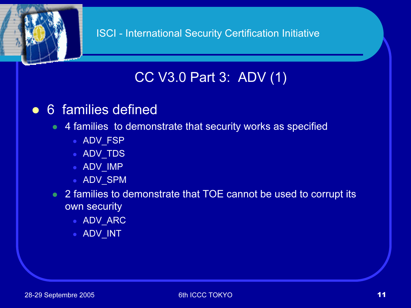

## CC V3.0 Part 3: ADV (1)

#### • 6 families defined

#### 4 families to demonstrate that security works as specified

- ADV\_FSP
- ADV\_TDS
- ADV\_IMP
- ADV\_SPM
- 2 families to demonstrate that TOE cannot be used to corrupt its own security
	- ADV\_ARC
	- ADV\_INT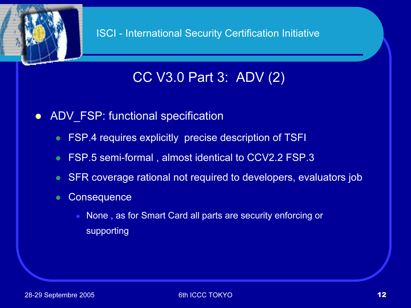

## CC V3.0 Part 3: ADV (2)

- $\bullet$ ADV FSP: functional specification
	- FSP.4 requires explicitly precise description of TSFI
	- $\bullet$ FSP.5 semi-formal , almost identical to CCV2.2 FSP.3
	- $\bullet$ SFR coverage rational not required to developers, evaluators job
	- $\bullet$ **Consequence** 
		- None , as for Smart Card all parts are security enforcing or supporting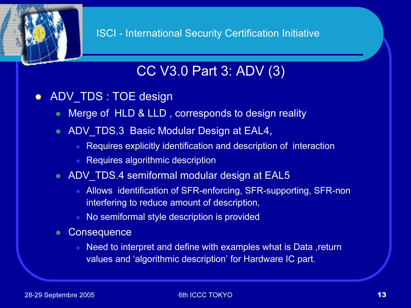## CC V3.0 Part 3: ADV (3)

- $\bullet$  ADV\_TDS : TOE design
	- $\bullet$ Merge of HLD & LLD , corresponds to design reality
	- ADV\_TDS.3 Basic Modular Design at EAL4,
		- Requires explicitly identification and description of interaction
		- Requires algorithmic description
	- ADV\_TDS.4 semiformal modular design at EAL5
		- Allows identification of SFR-enforcing, SFR-supporting, SFR-non interfering to reduce amount of description,
		- No semiformal style description is provided
	- **Consequence** 
		- $\bullet$  Need to interpret and define with examples what is Data ,return values and 'algorithmic description' for Hardware IC part.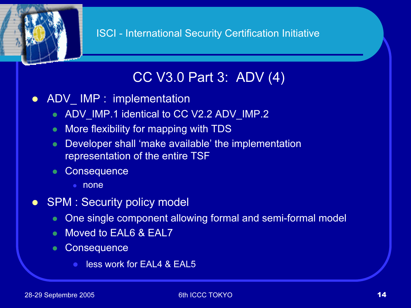## CC V3.0 Part 3: ADV (4)

- $\bullet$  ADV\_ IMP : implementation
	- ADV\_IMP.1 identical to CC V2.2 ADV\_IMP.2
	- $\bullet$ More flexibility for mapping with TDS
	- $\bullet$  Developer shall 'make available' the implementation representation of the entire TSF
	- $\bullet$ **Consequence** 
		- none
- $\bullet$ **SPM : Security policy model** 
	- One single component allowing formal and semi-formal model
	- $\bullet$ Moved to EAL6 & EAL7
	- $\bullet$ **Consequence** 
		- **less work for EAL4 & EAL5**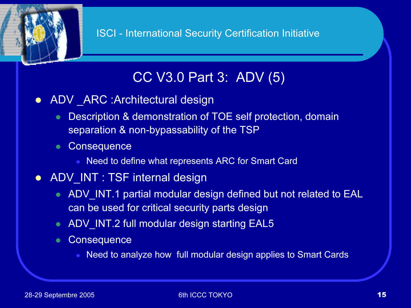## CC V3.0 Part 3: ADV (5)

- ADV \_ARC :Architectural design
	- $\bullet$  Description & demonstration of TOE self protection, domain separation & non-bypassability of the TSP
	- **Consequence** 
		- Need to define what represents ARC for Smart Card
- ADV\_INT : TSF internal design
	- ADV\_INT.1 partial modular design defined but not related to EAL can be used for critical security parts design
	- ADV\_INT.2 full modular design starting EAL5
	- Consequence
		- $\bullet$ Need to analyze how full modular design applies to Smart Cards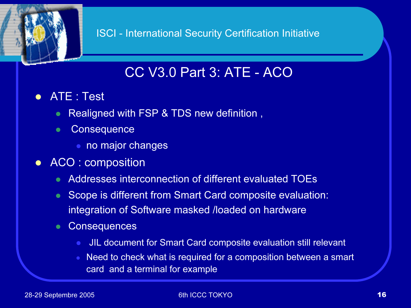### CC V3.0 Part 3: ATE - ACO

- ATE : Test
	- $\bullet$ Realigned with FSP & TDS new definition ,
	- $\bullet$ **Consequence** 
		- no major changes
- ACO : composition
	- Addresses interconnection of different evaluated TOEs
	- Scope is different from Smart Card composite evaluation: integration of Software masked /loaded on hardware
	- $\bullet$ **Consequences** 
		- $\bullet$ JIL document for Smart Card composite evaluation still relevant
		- $\bullet$  Need to check what is required for a composition between a smart card and a terminal for example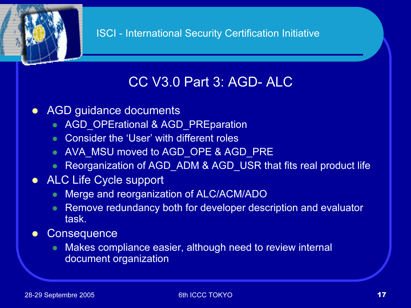## CC V3.0 Part 3: AGD- ALC

- $\bullet$  AGD guidance documents
	- AGD\_OPErational & AGD\_PREparation
	- Consider the 'User' with different roles
	- AVA\_MSU moved to AGD\_OPE & AGD\_PRE
	- $\bullet$ Reorganization of AGD\_ADM & AGD\_USR that fits real product life
- ALC Life Cycle support
	- $\bullet$ Merge and reorganization of ALC/ACM/ADO
	- $\bullet$  Remove redundancy both for developer description and evaluator task.
- $\bullet$ **Consequence** 
	- $\bullet$  Makes compliance easier, although need to review internal document organization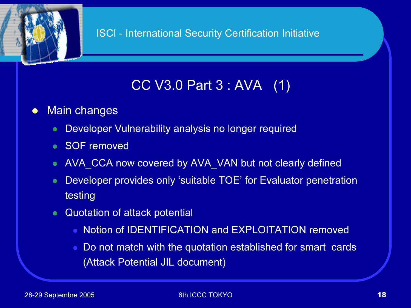

## CC V3.0 Part 3 : AVA (1)

#### $\bullet$ Main changes

- $\bullet$ Developer Vulnerability analysis no longer required
- SOF removed
- $\bullet$ AVA\_CCA now covered by AVA\_VAN but not clearly defined
- $\bullet$  Developer provides only 'suitable TOE' for Evaluator penetration testing
- $\bullet$  Quotation of attack potential
	- Notion of IDENTIFICATION and EXPLOITATION removed
	- Do not match with the quotation established for smart cards (Attack Potential JIL document)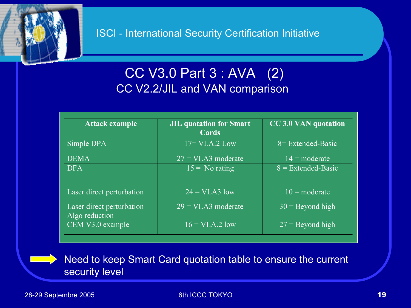

#### CC V3.0 Part 3 : AVA (2) CC V2.2/JIL and VAN comparison

| Attack example                              | <b>JIL quotation for Smart</b><br>Cards | <b>CC 3.0 VAN quotation</b> |
|---------------------------------------------|-----------------------------------------|-----------------------------|
| Simple DPA                                  | $17 = VLA.2$ Low                        | 8 = Extended-Basic          |
| <b>DEMA</b>                                 | $27 = VLA3$ moderate                    | $14 = \text{moderate}$      |
| <b>DFA</b>                                  | $15 =$ No rating                        | $8$ = Extended-Basic        |
| Laser direct perturbation                   | $\overline{24} = \overline{VLA3}$ low   | $10 = \text{moderate}$      |
| Laser direct perturbation<br>Algo reduction | $29 = VLA3$ moderate                    | $30$ = Beyond high          |
| CEM V3.0 example                            | $16 = VLA.2$ low                        | $27 =$ Beyond high          |

Need to keep Smart Card quotation table to ensure the current security level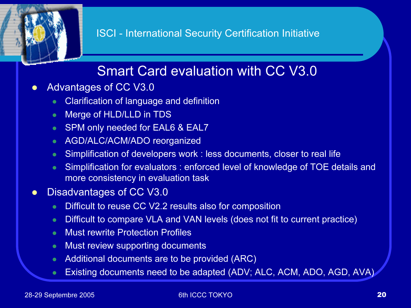## Smart Card evaluation with CC V3.0

- $\bullet$  Advantages of CC V3.0
	- $\bullet$ Clarification of language and definition
	- $\bullet$ Merge of HLD/LLD in TDS
	- SPM only needed for EAL6 & EAL7
	- $\bullet$ AGD/ALC/ACM/ADO reorganized
	- $\bullet$ Simplification of developers work : less documents, closer to real life
	- $\bullet$  Simplification for evaluators : enforced level of knowledge of TOE details and more consistency in evaluation task
- $\bullet$  Disadvantages of CC V3.0
	- $\bullet$ Difficult to reuse CC V2.2 results also for composition
	- $\bullet$ Difficult to compare VLA and VAN levels (does not fit to current practice)
	- $\bullet$ Must rewrite Protection Profiles
	- $\bullet$ Must review supporting documents
	- $\bullet$ Additional documents are to be provided (ARC)
	- $\bullet$ Existing documents need to be adapted (ADV; ALC, ACM, ADO, AGD, AVA)